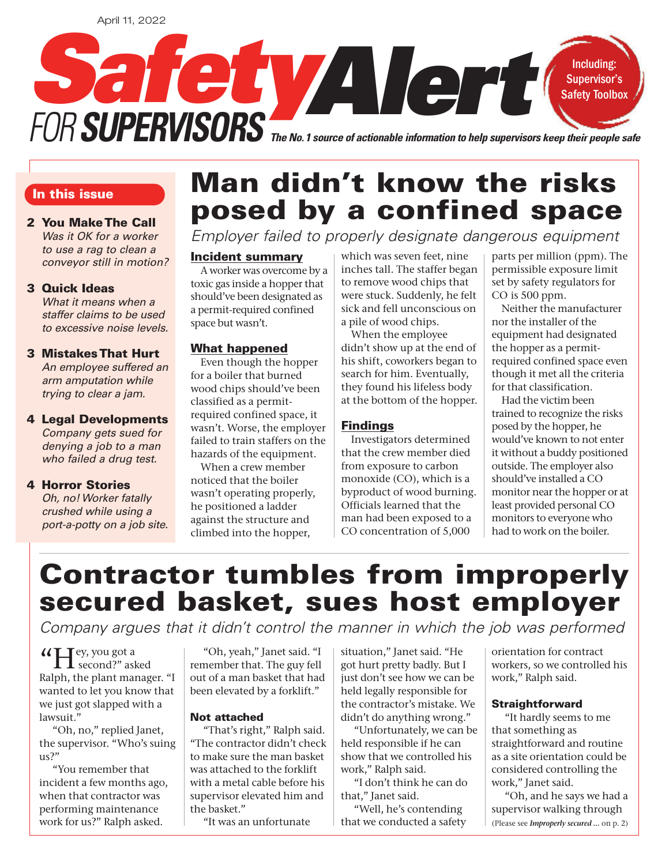

#### In this issue

#### 2 You Make The Call Was it OK for a worker to use a rag to clean a conveyor still in motion?

#### 3 Quick Ideas

What it means when a staffer claims to be used to excessive noise levels.

#### 3 Mistakes That Hurt An employee suffered an arm amputation while trying to clear a jam.

4 Legal Developments Company gets sued for denying a job to a man who failed a drug test.

#### 4 Horror Stories

 Oh, no! Worker fatally crushed while using a port-a-potty on a job site.

# Man didn't know the risks posed by a confined space

Employer failed to properly designate dangerous equipment

#### Incident summary

A worker was overcome by a toxic gas inside a hopper that should've been designated as a permit-required confined space but wasn't.

#### What happened

Even though the hopper for a boiler that burned wood chips should've been classified as a permitrequired confined space, it wasn't. Worse, the employer failed to train staffers on the hazards of the equipment.

When a crew member noticed that the boiler wasn't operating properly, he positioned a ladder against the structure and climbed into the hopper,

which was seven feet, nine inches tall. The staffer began to remove wood chips that were stuck. Suddenly, he felt sick and fell unconscious on a pile of wood chips.

When the employee didn't show up at the end of his shift, coworkers began to search for him. Eventually, they found his lifeless body at the bottom of the hopper.

#### Findings

Investigators determined that the crew member died from exposure to carbon monoxide (CO), which is a byproduct of wood burning. Officials learned that the man had been exposed to a CO concentration of 5,000

parts per million (ppm). The permissible exposure limit set by safety regulators for CO is 500 ppm.

Neither the manufacturer nor the installer of the equipment had designated the hopper as a permitrequired confined space even though it met all the criteria for that classification.

Had the victim been trained to recognize the risks posed by the hopper, he would've known to not enter it without a buddy positioned outside. The employer also should've installed a CO monitor near the hopper or at least provided personal CO monitors to everyone who had to work on the boiler.

# Contractor tumbles from improperly secured basket, sues host employer

Company argues that it didn't control the manner in which the job was performed

**"** Hey, you got a second?" asked Ralph, the plant manager. "I wanted to let you know that we just got slapped with a lawsuit."

"Oh, no," replied Janet, the supervisor. "Who's suing  $11S$ ?"

"You remember that incident a few months ago, when that contractor was performing maintenance work for us?" Ralph asked.

"Oh, yeah," Janet said. "I remember that. The guy fell out of a man basket that had been elevated by a forklift."

#### Not attached

"That's right," Ralph said. "The contractor didn't check to make sure the man basket was attached to the forklift with a metal cable before his supervisor elevated him and the basket."

"It was an unfortunate

situation," Janet said. "He got hurt pretty badly. But I just don't see how we can be held legally responsible for the contractor's mistake. We didn't do anything wrong."

"Unfortunately, we can be held responsible if he can show that we controlled his work," Ralph said.

"I don't think he can do that," Janet said.

"Well, he's contending that we conducted a safety

orientation for contract workers, so we controlled his work," Ralph said.

#### **Straightforward**

"It hardly seems to me that something as straightforward and routine as a site orientation could be considered controlling the work," Janet said.

"Oh, and he says we had a supervisor walking through (Please see *Improperly secured …* on p. 2)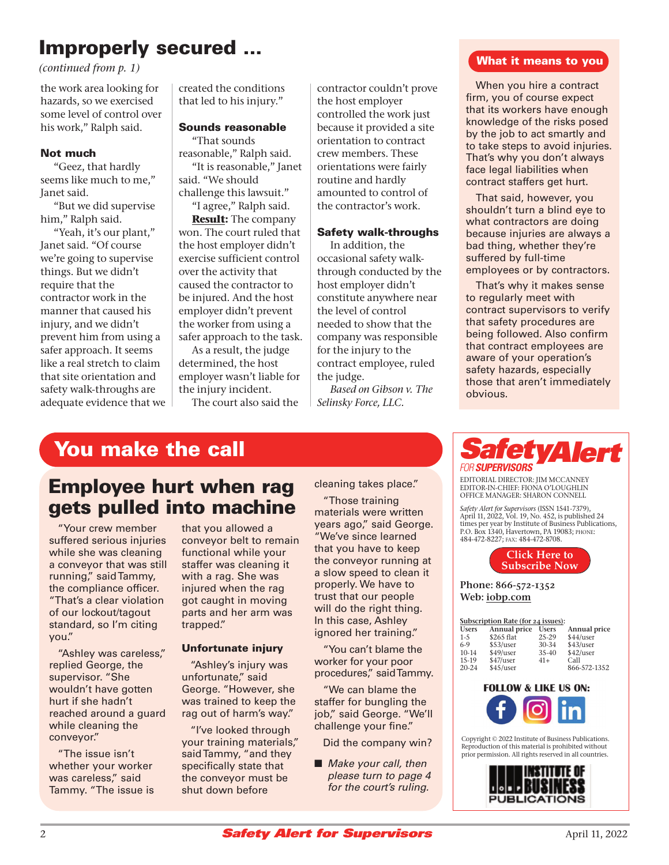## Improperly secured ...

*(continued from p. 1)*

the work area looking for hazards, so we exercised some level of control over his work," Ralph said.

#### Not much

"Geez, that hardly seems like much to me," Janet said.

"But we did supervise him," Ralph said.

"Yeah, it's our plant," Janet said. "Of course we're going to supervise things. But we didn't require that the contractor work in the manner that caused his injury, and we didn't prevent him from using a safer approach. It seems like a real stretch to claim that site orientation and safety walk-throughs are adequate evidence that we created the conditions that led to his injury."

#### Sounds reasonable

"That sounds reasonable," Ralph said. "It is reasonable," Janet said. "We should

challenge this lawsuit." "I agree," Ralph said.

**Result:** The company won. The court ruled that the host employer didn't exercise sufficient control over the activity that caused the contractor to be injured. And the host employer didn't prevent the worker from using a safer approach to the task.

As a result, the judge determined, the host employer wasn't liable for the injury incident.

The court also said the

contractor couldn't prove the host employer controlled the work just because it provided a site orientation to contract crew members. These orientations were fairly routine and hardly amounted to control of the contractor's work.

#### Safety walk-throughs

In addition, the occasional safety walkthrough conducted by the host employer didn't constitute anywhere near the level of control needed to show that the company was responsible for the injury to the contract employee, ruled the judge.

*Based on Gibson v. The Selinsky Force, LLC.*

#### What it means to you

When you hire a contract firm, you of course expect that its workers have enough knowledge of the risks posed by the job to act smartly and to take steps to avoid injuries. That's why you don't always face legal liabilities when contract staffers get hurt.

That said, however, you shouldn't turn a blind eye to what contractors are doing because injuries are always a bad thing, whether they're suffered by full-time employees or by contractors.

That's why it makes sense to regularly meet with contract supervisors to verify that safety procedures are being followed. Also confirm that contract employees are aware of your operation's safety hazards, especially those that aren't immediately obvious.

## You make the call

## Employee hurt when rag gets pulled into machine

"Your crew member suffered serious injuries while she was cleaning a conveyor that was still running," said Tammy, the compliance officer. "That's a clear violation of our lockout/tagout standard, so I'm citing you."

"Ashley was careless," replied George, the supervisor. "She wouldn't have gotten hurt if she hadn't reached around a guard while cleaning the conveyor."

"The issue isn't whether your worker was careless," said Tammy. "The issue is that you allowed a conveyor belt to remain functional while your staffer was cleaning it with a rag. She was injured when the rag got caught in moving parts and her arm was trapped."

#### Unfortunate injury

"Ashley's injury was unfortunate," said George. "However, she was trained to keep the rag out of harm's way."

"I've looked through your training materials," said Tammy, "and they specifically state that the conveyor must be shut down before

cleaning takes place."

"Those training materials were written years ago," said George. "We've since learned that you have to keep the conveyor running at a slow speed to clean it properly. We have to trust that our people will do the right thing. In this case, Ashley ignored her training."

"You can't blame the worker for your poor procedures," said Tammy.

"We can blame the staffer for bungling the job," said George. "We'll challenge your fine."

Did the company win?

■ Make your call, then please turn to page 4 for the court's ruling.

## fetyAlert FOR **SUPERVISORS**

EDITORIAL DIRECTOR: JIM MCCANNEY EDITOR-IN-CHIEF: FIONA O'LOUGHLIN OFFICE MANAGER: SHARON CONNELL

*Safety Alert for Supervisors* (ISSN 1541-7379), April 11, 2022, Vol. 19, No. 452, is published 24 times per year by Institute of Business Publications, P.O. Box 1340, Havertown, PA 19083; PHONE: 484-472-8227; FAX: 484-472-8708.



Phone: 866-572-1352 Web: [iobp.com](www.iobp.com)

| Subscription Rate (for 24 issues): |              |              |              |
|------------------------------------|--------------|--------------|--------------|
| <b>Users</b>                       | Annual price | <b>Users</b> | Annual price |
| $1 - 5$                            | \$265 flat   | $25 - 29$    | \$44/user    |
| $6-9$                              | \$53/user    | 30-34        | \$43/user    |
| $10-14$                            | \$49/user    | $35-40$      | \$42/user    |
| $15-19$                            | \$47/user    | $41+$        | Call         |
| $20 - 24$                          | \$45/user    |              | 866-572-1352 |



Copyright © 2022 Institute of Business Publications. Reproduction of this material is prohibited without prior permission. All rights reserved in all countries.

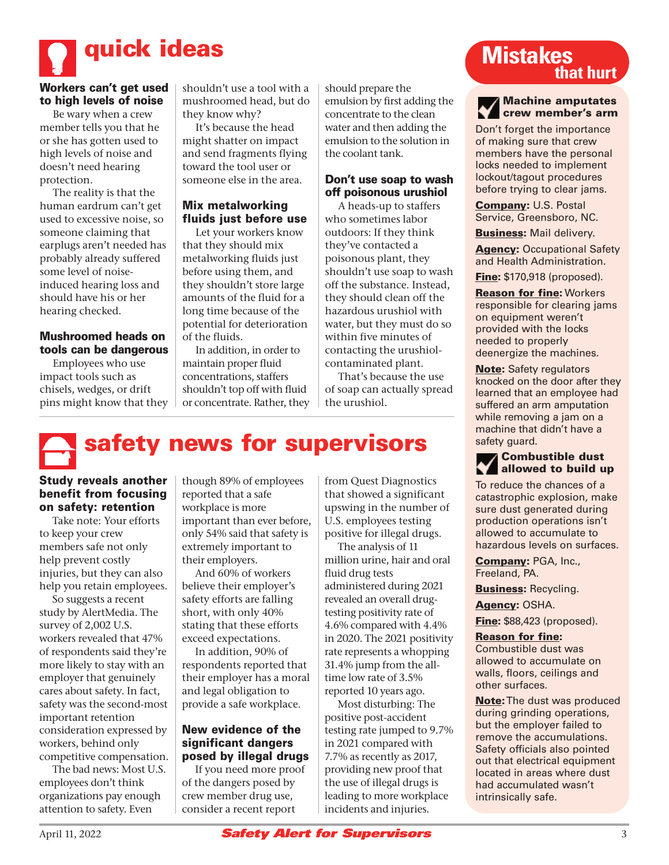

#### Workers can't get used to high levels of noise

Be wary when a crew member tells you that he or she has gotten used to high levels of noise and doesn't need hearing protection.

The reality is that the human eardrum can't get used to excessive noise, so someone claiming that earplugs aren't needed has probably already suffered some level of noiseinduced hearing loss and should have his or her hearing checked.

#### Mushroomed heads on tools can be dangerous

Employees who use impact tools such as chisels, wedges, or drift pins might know that they shouldn't use a tool with a mushroomed head, but do they know why?

It's because the head might shatter on impact and send fragments flying toward the tool user or someone else in the area.

#### Mix metalworking fluids just before use

Let your workers know that they should mix metalworking fluids just before using them, and they shouldn't store large amounts of the fluid for a long time because of the potential for deterioration of the fluids.

In addition, in order to maintain proper fluid concentrations, staffers shouldn't top off with fluid or concentrate. Rather, they should prepare the emulsion by first adding the concentrate to the clean water and then adding the emulsion to the solution in the coolant tank.

#### Don't use soap to wash off poisonous urushiol

A heads-up to staffers who sometimes labor outdoors: If they think they've contacted a poisonous plant, they shouldn't use soap to wash off the substance. Instead, they should clean off the hazardous urushiol with water, but they must do so within five minutes of contacting the urushiolcontaminated plant.

That's because the use of soap can actually spread the urushiol.

# safety news for supervisors

#### Study reveals another benefit from focusing on safety: retention

Take note: Your efforts to keep your crew members safe not only help prevent costly injuries, but they can also help you retain employees.

So suggests a recent study by AlertMedia. The survey of 2,002 U.S. workers revealed that 47% of respondents said they're more likely to stay with an employer that genuinely cares about safety. In fact, safety was the second-most important retention consideration expressed by workers, behind only competitive compensation.

The bad news: Most U.S. employees don't think organizations pay enough attention to safety. Even

though 89% of employees reported that a safe workplace is more important than ever before, only 54% said that safety is extremely important to their employers.

And 60% of workers believe their employer's safety efforts are falling short, with only 40% stating that these efforts exceed expectations.

In addition, 90% of respondents reported that their employer has a moral and legal obligation to provide a safe workplace.

#### New evidence of the significant dangers posed by illegal drugs

If you need more proof of the dangers posed by crew member drug use, consider a recent report

from Quest Diagnostics that showed a significant upswing in the number of U.S. employees testing positive for illegal drugs.

The analysis of 11 million urine, hair and oral fluid drug tests administered during 2021 revealed an overall drugtesting positivity rate of 4.6% compared with 4.4% in 2020. The 2021 positivity rate represents a whopping 31.4% jump from the alltime low rate of 3.5% reported 10 years ago.

Most disturbing: The positive post-accident testing rate jumped to 9.7% in 2021 compared with 7.7% as recently as 2017, providing new proof that the use of illegal drugs is leading to more workplace incidents and injuries.

## **Mistakes that hurt**

#### Machine amputates crew member's arm

Don't forget the importance of making sure that crew members have the personal locks needed to implement lockout/tagout procedures before trying to clear jams.

Company: U.S. Postal Service, Greensboro, NC.

Business: Mail delivery.

**Agency: Occupational Safety** and Health Administration.

**Fine:** \$170,918 (proposed).

Reason for fine: Workers responsible for clearing jams on equipment weren't provided with the locks needed to properly deenergize the machines.

Note: Safety regulators knocked on the door after they learned that an employee had suffered an arm amputation while removing a jam on a machine that didn't have a safety guard.

#### Combustible dust allowed to build up

To reduce the chances of a catastrophic explosion, make sure dust generated during production operations isn't allowed to accumulate to hazardous levels on surfaces.

Company: PGA, Inc., Freeland, PA.

**Business: Recycling.** Agency: OSHA.

**Fine:** \$88,423 (proposed).

#### Reason for fine:

Combustible dust was allowed to accumulate on walls, floors, ceilings and other surfaces.

Note: The dust was produced during grinding operations, but the employer failed to remove the accumulations. Safety officials also pointed out that electrical equipment located in areas where dust had accumulated wasn't intrinsically safe.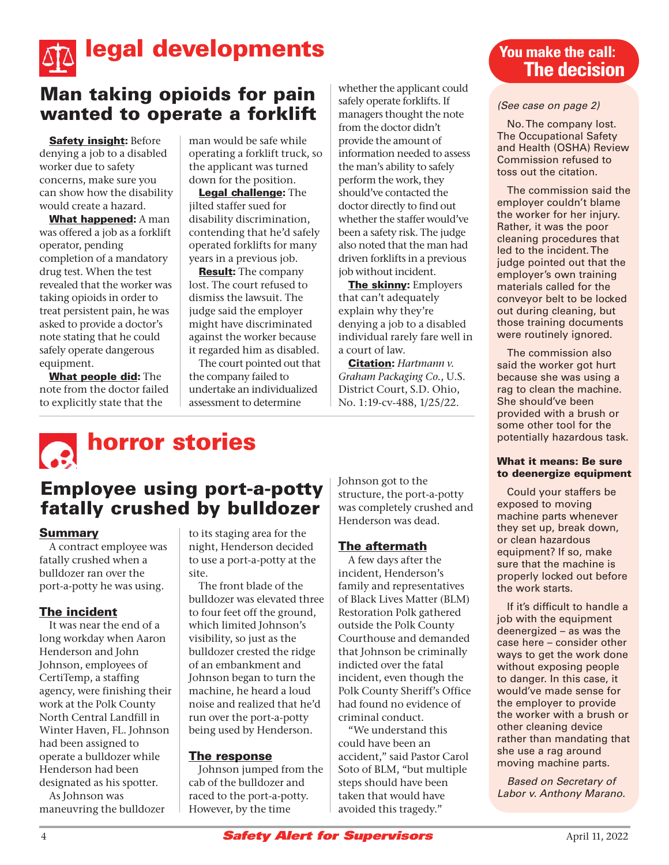

## Man taking opioids for pain wanted to operate a forklift

**Safety insight: Before** denying a job to a disabled worker due to safety concerns, make sure you can show how the disability would create a hazard.

What happened: A man was offered a job as a forklift operator, pending completion of a mandatory drug test. When the test revealed that the worker was taking opioids in order to treat persistent pain, he was asked to provide a doctor's note stating that he could safely operate dangerous equipment.

What people did: The note from the doctor failed to explicitly state that the

man would be safe while operating a forklift truck, so the applicant was turned down for the position.

Legal challenge: The jilted staffer sued for disability discrimination, contending that he'd safely operated forklifts for many years in a previous job.

Result: The company lost. The court refused to dismiss the lawsuit. The judge said the employer might have discriminated against the worker because it regarded him as disabled.

The court pointed out that the company failed to undertake an individualized assessment to determine

whether the applicant could safely operate forklifts. If managers thought the note from the doctor didn't provide the amount of information needed to assess the man's ability to safely perform the work, they should've contacted the doctor directly to find out whether the staffer would've been a safety risk. The judge also noted that the man had driven forklifts in a previous job without incident.

The skinny: Employers that can't adequately explain why they're denying a job to a disabled individual rarely fare well in a court of law.

Citation: *Hartmann v. Graham Packaging Co.*, U.S. District Court, S.D. Ohio, No. 1:19-cv-488, 1/25/22.

### **You make the call: The decision**

#### (See case on page 2)

No. The company lost. The Occupational Safety and Health (OSHA) Review Commission refused to toss out the citation.

The commission said the employer couldn't blame the worker for her injury. Rather, it was the poor cleaning procedures that led to the incident. The judge pointed out that the employer's own training materials called for the conveyor belt to be locked out during cleaning, but those training documents were routinely ignored.

The commission also said the worker got hurt because she was using a rag to clean the machine. She should've been provided with a brush or some other tool for the potentially hazardous task.

#### What it means: Be sure to deenergize equipment

Could your staffers be exposed to moving machine parts whenever they set up, break down, or clean hazardous equipment? If so, make sure that the machine is properly locked out before the work starts.

If it's difficult to handle a job with the equipment deenergized – as was the case here – consider other ways to get the work done without exposing people to danger. In this case, it would've made sense for the employer to provide the worker with a brush or other cleaning device rather than mandating that she use a rag around moving machine parts.

Based on Secretary of Labor v. Anthony Marano.

# **horror stories**

## Employee using port-a-potty fatally crushed by bulldozer

#### Summary

A contract employee was fatally crushed when a bulldozer ran over the port-a-potty he was using.

#### The incident

It was near the end of a long workday when Aaron Henderson and John Johnson, employees of CertiTemp, a staffing agency, were finishing their work at the Polk County North Central Landfill in Winter Haven, FL. Johnson had been assigned to operate a bulldozer while Henderson had been designated as his spotter.

As Johnson was maneuvring the bulldozer

to its staging area for the night, Henderson decided to use a port-a-potty at the site.

The front blade of the bulldozer was elevated three to four feet off the ground, which limited Johnson's visibility, so just as the bulldozer crested the ridge of an embankment and Johnson began to turn the machine, he heard a loud noise and realized that he'd run over the port-a-potty being used by Henderson.

#### The response

Johnson jumped from the cab of the bulldozer and raced to the port-a-potty. However, by the time

Johnson got to the structure, the port-a-potty was completely crushed and Henderson was dead.

#### **The aftermath**

A few days after the incident, Henderson's family and representatives of Black Lives Matter (BLM) Restoration Polk gathered outside the Polk County Courthouse and demanded that Johnson be criminally indicted over the fatal incident, even though the Polk County Sheriff's Office had found no evidence of criminal conduct.

"We understand this could have been an accident," said Pastor Carol Soto of BLM, "but multiple steps should have been taken that would have avoided this tragedy."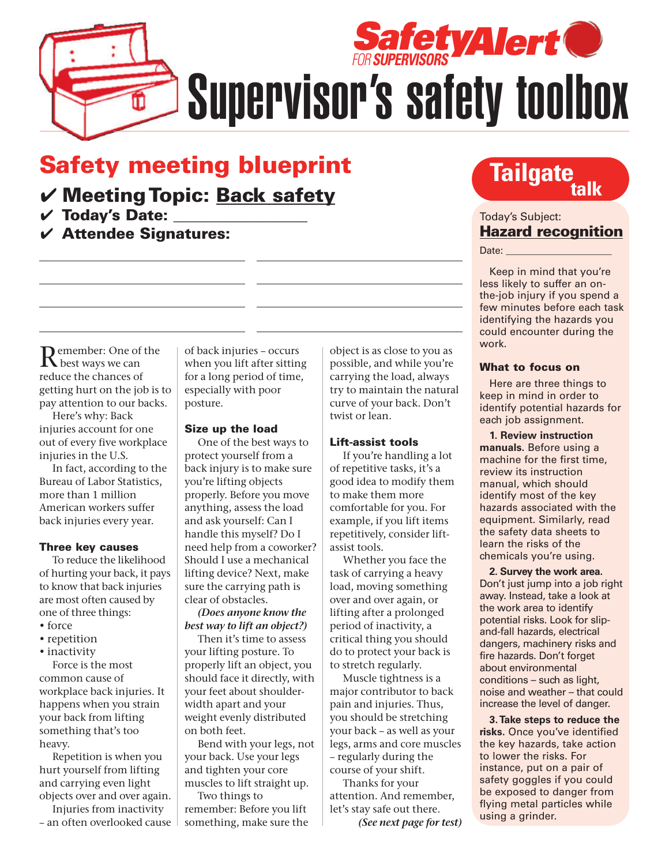

Supervisor's safety toolbox

## Safety meeting blueprint

## ✔ Meeting Topic: Back safety

 $V$  Today's Date:

 $V$  Attendee Signatures:

**Tailgate** 

Today's Subject: Hazard recognition

 $Date:$ 

Keep in mind that you're less likely to suffer an onthe-job injury if you spend a few minutes before each task identifying the hazards you could encounter during the work.

#### What to focus on

Here are three things to keep in mind in order to identify potential hazards for each job assignment.

**1. Review instruction manuals.** Before using a machine for the first time, review its instruction manual, which should identify most of the key hazards associated with the equipment. Similarly, read the safety data sheets to learn the risks of the chemicals you're using.

**2. Survey the work area.** Don't just jump into a job right away. Instead, take a look at the work area to identify potential risks. Look for slipand-fall hazards, electrical dangers, machinery risks and fire hazards. Don't forget about environmental conditions – such as light, noise and weather – that could increase the level of danger.

**3. Take steps to reduce the risks.** Once you've identified the key hazards, take action to lower the risks. For instance, put on a pair of safety goggles if you could be exposed to danger from flying metal particles while using a grinder.

Remember: One of the<br>R best ways we can reduce the chances of getting hurt on the job is to pay attention to our backs.

Here's why: Back injuries account for one out of every five workplace injuries in the U.S.

In fact, according to the Bureau of Labor Statistics, more than 1 million American workers suffer back injuries every year.

#### Three key causes

To reduce the likelihood of hurting your back, it pays to know that back injuries are most often caused by one of three things:

- force
- repetition
- inactivity

Force is the most common cause of workplace back injuries. It happens when you strain your back from lifting something that's too heavy.

Repetition is when you hurt yourself from lifting and carrying even light objects over and over again.

Injuries from inactivity – an often overlooked cause of back injuries – occurs when you lift after sitting for a long period of time, especially with poor posture.

#### Size up the load

One of the best ways to protect yourself from a back injury is to make sure you're lifting objects properly. Before you move anything, assess the load and ask yourself: Can I handle this myself? Do I need help from a coworker? Should I use a mechanical lifting device? Next, make sure the carrying path is clear of obstacles.

*(Does anyone know the best way to lift an object?)*

Then it's time to assess your lifting posture. To properly lift an object, you should face it directly, with your feet about shoulderwidth apart and your weight evenly distributed on both feet.

Bend with your legs, not your back. Use your legs and tighten your core muscles to lift straight up. Two things to

remember: Before you lift something, make sure the object is as close to you as possible, and while you're carrying the load, always try to maintain the natural curve of your back. Don't twist or lean.

#### Lift-assist tools

If you're handling a lot of repetitive tasks, it's a good idea to modify them to make them more comfortable for you. For example, if you lift items repetitively, consider liftassist tools.

Whether you face the task of carrying a heavy load, moving something over and over again, or lifting after a prolonged period of inactivity, a critical thing you should do to protect your back is to stretch regularly.

Muscle tightness is a major contributor to back pain and injuries. Thus, you should be stretching your back – as well as your legs, arms and core muscles – regularly during the course of your shift.

Thanks for your attention. And remember, let's stay safe out there.

*(See next page for test)*